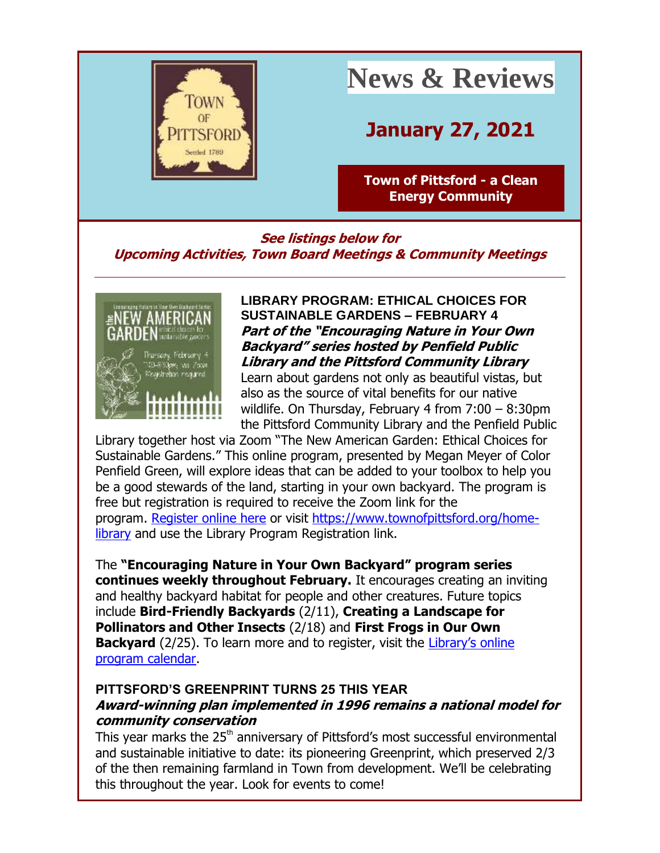

# **News & Reviews**

# **January 27, 2021**

**[Town of Pittsford -](http://r20.rs6.net/tn.jsp?f=001xsnCz-yFKusJR09aC2vtQSyNjdJQlCzg04sNNibsGzBOoadihDLLUKkWTv4qMU1E93IoaaGgdqDoMBF-tjO1ZK2VsBfEKF0DyPCuYCGEdo19NBtUQdxBoL6N-uyJcawbQOtsF4lOISESMUSh4BcxWV9991bayF_C&c=CBzpsg8PM0k1vNwE-vKAhZX5cgrrFRldkL38_We9tUABZOZvT6c42w==&ch=umqMH7X9GlveJr_i5AZq94dnsthTbh1x8iPTDkSQHy0lt4XLVxUbIQ==) a Clean [Energy Community](http://r20.rs6.net/tn.jsp?f=001xsnCz-yFKusJR09aC2vtQSyNjdJQlCzg04sNNibsGzBOoadihDLLUKkWTv4qMU1E93IoaaGgdqDoMBF-tjO1ZK2VsBfEKF0DyPCuYCGEdo19NBtUQdxBoL6N-uyJcawbQOtsF4lOISESMUSh4BcxWV9991bayF_C&c=CBzpsg8PM0k1vNwE-vKAhZX5cgrrFRldkL38_We9tUABZOZvT6c42w==&ch=umqMH7X9GlveJr_i5AZq94dnsthTbh1x8iPTDkSQHy0lt4XLVxUbIQ==)**

**See listings below for Upcoming Activities, Town Board Meetings & Community Meetings**



**LIBRARY PROGRAM: ETHICAL CHOICES FOR SUSTAINABLE GARDENS – FEBRUARY 4 Part of the "Encouraging Nature in Your Own Backyard" series hosted by Penfield Public Library and the Pittsford Community Library**

Learn about gardens not only as beautiful vistas, but also as the source of vital benefits for our native wildlife. On Thursday, February 4 from 7:00 – 8:30pm the Pittsford Community Library and the Penfield Public

Library together host via Zoom "The New American Garden: Ethical Choices for Sustainable Gardens." This online program, presented by Megan Meyer of Color Penfield Green, will explore ideas that can be added to your toolbox to help you be a good stewards of the land, starting in your own backyard. The program is free but registration is required to receive the Zoom link for the program. [Register online here](http://r20.rs6.net/tn.jsp?f=001xsnCz-yFKusJR09aC2vtQSyNjdJQlCzg04sNNibsGzBOoadihDLLUIl4P67Z0bXcR4CTLoxxDwQykyjCv1AHakvEuTgStNRF2klYzc7AAYIBv4w1ftbJBr-qq5hoXj_q_nBpz81Z6WKldtw8XO87S5TvVNxWMuEbTyqb0xBCPTk4PydnkPDsrQ==&c=CBzpsg8PM0k1vNwE-vKAhZX5cgrrFRldkL38_We9tUABZOZvT6c42w==&ch=umqMH7X9GlveJr_i5AZq94dnsthTbh1x8iPTDkSQHy0lt4XLVxUbIQ==) or visit [https://www.townofpittsford.org/home](http://r20.rs6.net/tn.jsp?f=001xsnCz-yFKusJR09aC2vtQSyNjdJQlCzg04sNNibsGzBOoadihDLLUKqHOMwp-2gznTDtdNFBobyZWcZIRj2k-ePwCXJxl3Cu7goj7TdbG28IRgxY12MxjbYUUAjoNVLEOX_wLXqmBj8rdJjWzg0wZhQIc8DksqxurUftw1dM9PA=&c=CBzpsg8PM0k1vNwE-vKAhZX5cgrrFRldkL38_We9tUABZOZvT6c42w==&ch=umqMH7X9GlveJr_i5AZq94dnsthTbh1x8iPTDkSQHy0lt4XLVxUbIQ==)[library](http://r20.rs6.net/tn.jsp?f=001xsnCz-yFKusJR09aC2vtQSyNjdJQlCzg04sNNibsGzBOoadihDLLUKqHOMwp-2gznTDtdNFBobyZWcZIRj2k-ePwCXJxl3Cu7goj7TdbG28IRgxY12MxjbYUUAjoNVLEOX_wLXqmBj8rdJjWzg0wZhQIc8DksqxurUftw1dM9PA=&c=CBzpsg8PM0k1vNwE-vKAhZX5cgrrFRldkL38_We9tUABZOZvT6c42w==&ch=umqMH7X9GlveJr_i5AZq94dnsthTbh1x8iPTDkSQHy0lt4XLVxUbIQ==) and use the Library Program Registration link.

The **"Encouraging Nature in Your Own Backyard" program series continues weekly throughout February.** It encourages creating an inviting and healthy backyard habitat for people and other creatures. Future topics include **Bird-Friendly Backyards** (2/11), **Creating a Landscape for Pollinators and Other Insects** (2/18) and **First Frogs in Our Own Backyard** (2/25). To learn more and to register, visit the Library's online [program calendar.](http://r20.rs6.net/tn.jsp?f=001xsnCz-yFKusJR09aC2vtQSyNjdJQlCzg04sNNibsGzBOoadihDLLUIl4P67Z0bXcRAVLGx3DbS2h6zOM7BQApmRQus47e5mNwTCHCVbmB8hUrZ20vVlgqMusg5LR7Hjd7eri2_B1diHtkQzabDtD4rylznZ0WZnUoH27NnP_0e2UNMbUrHsPdZEx4tGuPVgFZrVMXOiQ-B8Y4N48ubPEHVNGkFu-5Wa4Ph_vAlMo6Y5vlSlUI9z1oeyH8TcC-QAl&c=CBzpsg8PM0k1vNwE-vKAhZX5cgrrFRldkL38_We9tUABZOZvT6c42w==&ch=umqMH7X9GlveJr_i5AZq94dnsthTbh1x8iPTDkSQHy0lt4XLVxUbIQ==)

# **PITTSFORD'S GREENPRINT TURNS 25 THIS YEAR Award-winning plan implemented in 1996 remains a national model for community conservation**

This year marks the 25<sup>th</sup> anniversary of Pittsford's most successful environmental and sustainable initiative to date: its pioneering Greenprint, which preserved 2/3 of the then remaining farmland in Town from development. We'll be celebrating this throughout the year. Look for events to come!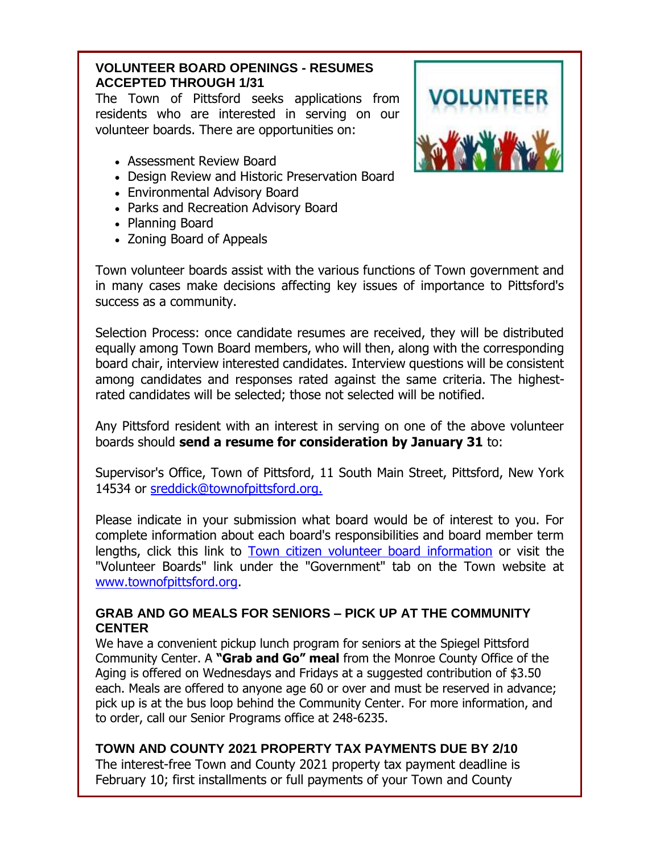# **VOLUNTEER BOARD OPENINGS - RESUMES ACCEPTED THROUGH 1/31**

The Town of Pittsford seeks applications from residents who are interested in serving on our volunteer boards. There are opportunities on:

- Assessment Review Board
- Design Review and Historic Preservation Board
- Environmental Advisory Board
- Parks and Recreation Advisory Board
- Planning Board
- Zoning Board of Appeals



Town volunteer boards assist with the various functions of Town government and in many cases make decisions affecting key issues of importance to Pittsford's success as a community.

Selection Process: once candidate resumes are received, they will be distributed equally among Town Board members, who will then, along with the corresponding board chair, interview interested candidates. Interview questions will be consistent among candidates and responses rated against the same criteria. The highestrated candidates will be selected; those not selected will be notified.

Any Pittsford resident with an interest in serving on one of the above volunteer boards should **send a resume for consideration by January 31** to:

Supervisor's Office, Town of Pittsford, 11 South Main Street, Pittsford, New York 14534 or [sreddick@townofpittsford.org.](mailto:sreddick@townofpittsford.org?subject=Town%20Volunteer%20Board%20application)

Please indicate in your submission what board would be of interest to you. For complete information about each board's responsibilities and board member term lengths, click this link to [Town citizen volunteer board information](http://r20.rs6.net/tn.jsp?f=001xsnCz-yFKusJR09aC2vtQSyNjdJQlCzg04sNNibsGzBOoadihDLLUG9o9HoCzKNpALufMTCkkH6Sw3US2AAMmQm0qasBshdTV4SPX1itYV3LPFTEgqhHzHdjq5qUv1va-YuohUKbHANxsvbs2LajopGoK6z9V3mHgri8e2oFUOI=&c=CBzpsg8PM0k1vNwE-vKAhZX5cgrrFRldkL38_We9tUABZOZvT6c42w==&ch=umqMH7X9GlveJr_i5AZq94dnsthTbh1x8iPTDkSQHy0lt4XLVxUbIQ==) or visit the "Volunteer Boards" link under the "Government" tab on the Town website at [www.townofpittsford.org.](http://r20.rs6.net/tn.jsp?f=001xsnCz-yFKusJR09aC2vtQSyNjdJQlCzg04sNNibsGzBOoadihDLLUKkWTv4qMU1E93IoaaGgdqDoMBF-tjO1ZK2VsBfEKF0DyPCuYCGEdo19NBtUQdxBoL6N-uyJcawbQOtsF4lOISESMUSh4BcxWV9991bayF_C&c=CBzpsg8PM0k1vNwE-vKAhZX5cgrrFRldkL38_We9tUABZOZvT6c42w==&ch=umqMH7X9GlveJr_i5AZq94dnsthTbh1x8iPTDkSQHy0lt4XLVxUbIQ==)

### **GRAB AND GO MEALS FOR SENIORS – PICK UP AT THE COMMUNITY CENTER**

We have a convenient pickup lunch program for seniors at the Spiegel Pittsford Community Center. A **"Grab and Go" meal** from the Monroe County Office of the Aging is offered on Wednesdays and Fridays at a suggested contribution of \$3.50 each. Meals are offered to anyone age 60 or over and must be reserved in advance; pick up is at the bus loop behind the Community Center. For more information, and to order, call our Senior Programs office at 248-6235.

#### **TOWN AND COUNTY 2021 PROPERTY TAX PAYMENTS DUE BY 2/10**

The interest-free Town and County 2021 property tax payment deadline is February 10; first installments or full payments of your Town and County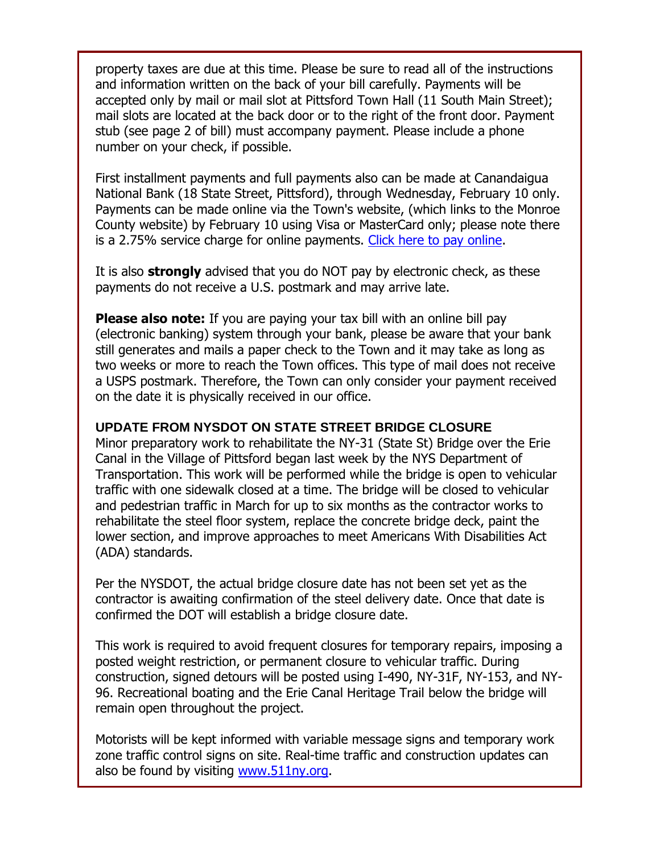property taxes are due at this time. Please be sure to read all of the instructions and information written on the back of your bill carefully. Payments will be accepted only by mail or mail slot at Pittsford Town Hall (11 South Main Street); mail slots are located at the back door or to the right of the front door. Payment stub (see page 2 of bill) must accompany payment. Please include a phone number on your check, if possible.

First installment payments and full payments also can be made at Canandaigua National Bank (18 State Street, Pittsford), through Wednesday, February 10 only. Payments can be made online via the Town's website, (which links to the Monroe County website) by February 10 using Visa or MasterCard only; please note there is a 2.75% service charge for online payments. [Click here to pay online.](http://r20.rs6.net/tn.jsp?f=001xsnCz-yFKusJR09aC2vtQSyNjdJQlCzg04sNNibsGzBOoadihDLLUBoOsK-1Cj3Rim2ntNRLoVN285bTDblaPHODABJerbeEOvBdRqljlRrtd6APkWtyj_7q1YmDPOIfNAtU9MfxFrei3kWBSH6ji715IZdnP_meTeYam8IO04PBIxdZfNM5dg==&c=CBzpsg8PM0k1vNwE-vKAhZX5cgrrFRldkL38_We9tUABZOZvT6c42w==&ch=umqMH7X9GlveJr_i5AZq94dnsthTbh1x8iPTDkSQHy0lt4XLVxUbIQ==)

It is also **strongly** advised that you do NOT pay by electronic check, as these payments do not receive a U.S. postmark and may arrive late.

**Please also note:** If you are paying your tax bill with an online bill pay (electronic banking) system through your bank, please be aware that your bank still generates and mails a paper check to the Town and it may take as long as two weeks or more to reach the Town offices. This type of mail does not receive a USPS postmark. Therefore, the Town can only consider your payment received on the date it is physically received in our office.

#### **UPDATE FROM NYSDOT ON STATE STREET BRIDGE CLOSURE**

Minor preparatory work to rehabilitate the NY-31 (State St) Bridge over the Erie Canal in the Village of Pittsford began last week by the NYS Department of Transportation. This work will be performed while the bridge is open to vehicular traffic with one sidewalk closed at a time. The bridge will be closed to vehicular and pedestrian traffic in March for up to six months as the contractor works to rehabilitate the steel floor system, replace the concrete bridge deck, paint the lower section, and improve approaches to meet Americans With Disabilities Act (ADA) standards.

Per the NYSDOT, the actual bridge closure date has not been set yet as the contractor is awaiting confirmation of the steel delivery date. Once that date is confirmed the DOT will establish a bridge closure date.

This work is required to avoid frequent closures for temporary repairs, imposing a posted weight restriction, or permanent closure to vehicular traffic. During construction, signed detours will be posted using I-490, NY-31F, NY-153, and NY-96. Recreational boating and the Erie Canal Heritage Trail below the bridge will remain open throughout the project.

Motorists will be kept informed with variable message signs and temporary work zone traffic control signs on site. Real-time traffic and construction updates can also be found by visiting [www.511ny.org.](http://r20.rs6.net/tn.jsp?f=001xsnCz-yFKusJR09aC2vtQSyNjdJQlCzg04sNNibsGzBOoadihDLLUIl4P67Z0bXc71k4npbOfRJBmH2x_f-GgWmaahRF4GEpssTTizRJlwD9Zq6JxhGJN2mBX7ymMSyIoQfLS9XakB0=&c=CBzpsg8PM0k1vNwE-vKAhZX5cgrrFRldkL38_We9tUABZOZvT6c42w==&ch=umqMH7X9GlveJr_i5AZq94dnsthTbh1x8iPTDkSQHy0lt4XLVxUbIQ==)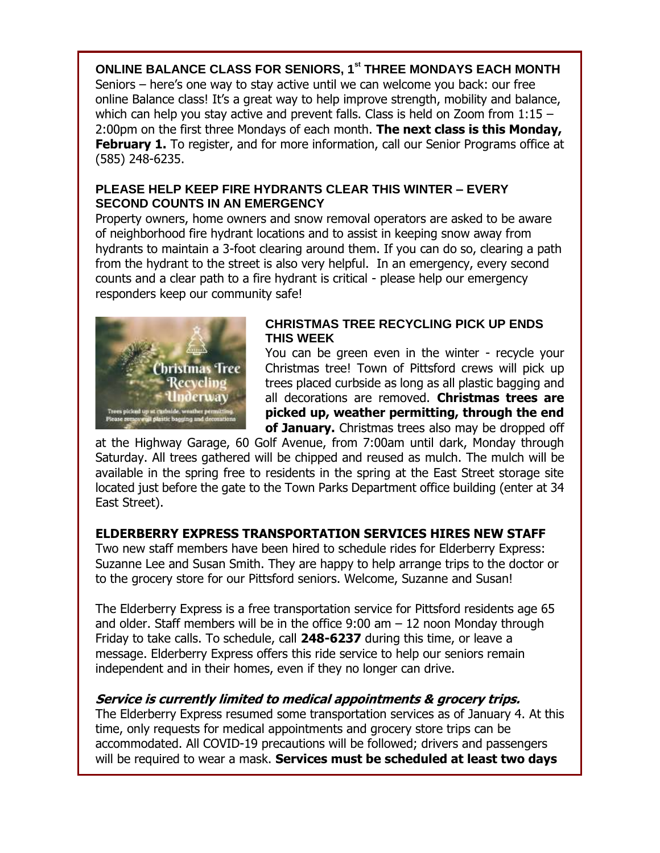**ONLINE BALANCE CLASS FOR SENIORS, 1st THREE MONDAYS EACH MONTH** Seniors – here's one way to stay active until we can welcome you back: our free online Balance class! It's a great way to help improve strength, mobility and balance, which can help you stay active and prevent falls. Class is held on Zoom from 1:15 -2:00pm on the first three Mondays of each month. **The next class is this Monday, February 1.** To register, and for more information, call our Senior Programs office at (585) 248-6235.

#### **PLEASE HELP KEEP FIRE HYDRANTS CLEAR THIS WINTER – EVERY SECOND COUNTS IN AN EMERGENCY**

Property owners, home owners and snow removal operators are asked to be aware of neighborhood fire hydrant locations and to assist in keeping snow away from hydrants to maintain a 3-foot clearing around them. If you can do so, clearing a path from the hydrant to the street is also very helpful. In an emergency, every second counts and a clear path to a fire hydrant is critical - please help our emergency responders keep our community safe!



#### **CHRISTMAS TREE RECYCLING PICK UP ENDS THIS WEEK**

You can be green even in the winter - recycle your Christmas tree! Town of Pittsford crews will pick up trees placed curbside as long as all plastic bagging and all decorations are removed. **Christmas trees are picked up, weather permitting, through the end of January.** Christmas trees also may be dropped off

at the Highway Garage, 60 Golf Avenue, from 7:00am until dark, Monday through Saturday. All trees gathered will be chipped and reused as mulch. The mulch will be available in the spring free to residents in the spring at the East Street storage site located just before the gate to the Town Parks Department office building (enter at 34 East Street).

# **ELDERBERRY EXPRESS TRANSPORTATION SERVICES HIRES NEW STAFF**

Two new staff members have been hired to schedule rides for Elderberry Express: Suzanne Lee and Susan Smith. They are happy to help arrange trips to the doctor or to the grocery store for our Pittsford seniors. Welcome, Suzanne and Susan!

The Elderberry Express is a free transportation service for Pittsford residents age 65 and older. Staff members will be in the office  $9:00$  am  $-12$  noon Monday through Friday to take calls. To schedule, call **248-6237** during this time, or leave a message. Elderberry Express offers this ride service to help our seniors remain independent and in their homes, even if they no longer can drive.

# **Service is currently limited to medical appointments & grocery trips.**

The Elderberry Express resumed some transportation services as of January 4. At this time, only requests for medical appointments and grocery store trips can be accommodated. All COVID-19 precautions will be followed; drivers and passengers will be required to wear a mask. **Services must be scheduled at least two days**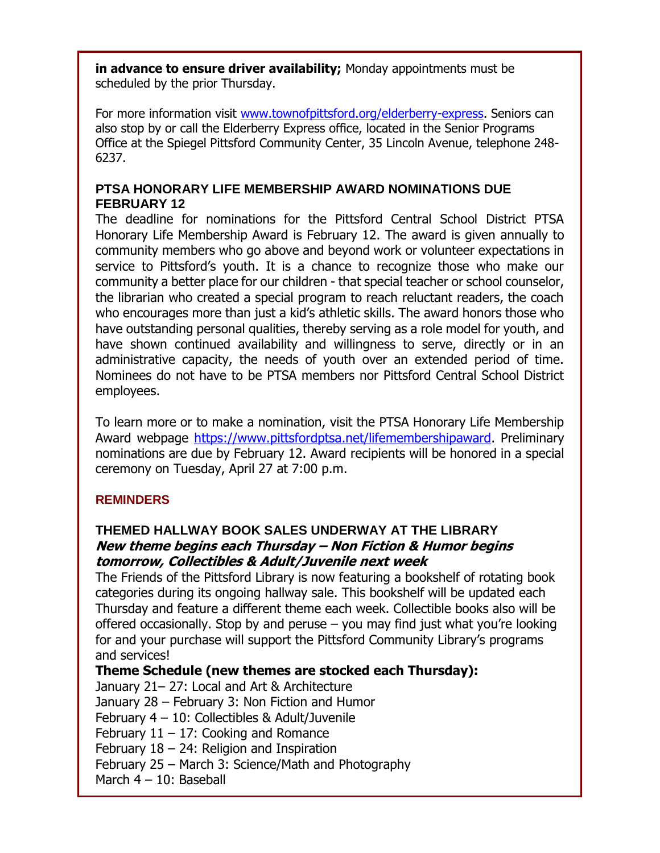**in advance to ensure driver availability;** Monday appointments must be scheduled by the prior Thursday.

For more information visit [www.townofpittsford.org/elderberry-express.](http://r20.rs6.net/tn.jsp?f=001xsnCz-yFKusJR09aC2vtQSyNjdJQlCzg04sNNibsGzBOoadihDLLUIl4P67Z0bXc5nTkL9hCdcp2O3HdK3xPaWea3rVeBU4HpkCH4JCVb_ZhPxbio1QxW_pp6pnGd_oTucPUGPPbEGxj_k1XZPjgfb32fkdniuzf-CsSb5Zw_TUwHRag7LRVig==&c=CBzpsg8PM0k1vNwE-vKAhZX5cgrrFRldkL38_We9tUABZOZvT6c42w==&ch=umqMH7X9GlveJr_i5AZq94dnsthTbh1x8iPTDkSQHy0lt4XLVxUbIQ==) Seniors can also stop by or call the Elderberry Express office, located in the Senior Programs Office at the Spiegel Pittsford Community Center, 35 Lincoln Avenue, telephone 248- 6237.

### **PTSA HONORARY LIFE MEMBERSHIP AWARD NOMINATIONS DUE FEBRUARY 12**

The deadline for nominations for the Pittsford Central School District PTSA Honorary Life Membership Award is February 12. The award is given annually to community members who go above and beyond work or volunteer expectations in service to Pittsford's youth. It is a chance to recognize those who make our community a better place for our children - that special teacher or school counselor, the librarian who created a special program to reach reluctant readers, the coach who encourages more than just a kid's athletic skills. The award honors those who have outstanding personal qualities, thereby serving as a role model for youth, and have shown continued availability and willingness to serve, directly or in an administrative capacity, the needs of youth over an extended period of time. Nominees do not have to be PTSA members nor Pittsford Central School District employees.

To learn more or to make a nomination, visit the PTSA Honorary Life Membership Award webpage [https://www.pittsfordptsa.net/lifemembershipaward.](http://r20.rs6.net/tn.jsp?f=001xsnCz-yFKusJR09aC2vtQSyNjdJQlCzg04sNNibsGzBOoadihDLLUJvR99m8ByhDI5ROeq4EQLhYo8F6AqNnoYWCL9Zvto7UJe54oLErYwDtwLQlVdMUlk34l8LTnM65hDZbOn2bcv2tz9FHJXSjuSgtv74AtiIQiYQAUH42mu9KfPt7iCpClw==&c=CBzpsg8PM0k1vNwE-vKAhZX5cgrrFRldkL38_We9tUABZOZvT6c42w==&ch=umqMH7X9GlveJr_i5AZq94dnsthTbh1x8iPTDkSQHy0lt4XLVxUbIQ==) Preliminary nominations are due by February 12. Award recipients will be honored in a special ceremony on Tuesday, April 27 at 7:00 p.m.

# **REMINDERS**

# **THEMED HALLWAY BOOK SALES UNDERWAY AT THE LIBRARY New theme begins each Thursday – Non Fiction & Humor begins tomorrow, Collectibles & Adult/Juvenile next week**

The Friends of the Pittsford Library is now featuring a bookshelf of rotating book categories during its ongoing hallway sale. This bookshelf will be updated each Thursday and feature a different theme each week. Collectible books also will be offered occasionally. Stop by and peruse – you may find just what you're looking for and your purchase will support the Pittsford Community Library's programs and services!

**Theme Schedule (new themes are stocked each Thursday):** January 21– 27: Local and Art & Architecture January 28 – February 3: Non Fiction and Humor February 4 – 10: Collectibles & Adult/Juvenile February  $11 - 17$ : Cooking and Romance February  $18 - 24$ : Religion and Inspiration February 25 – March 3: Science/Math and Photography March 4 – 10: Baseball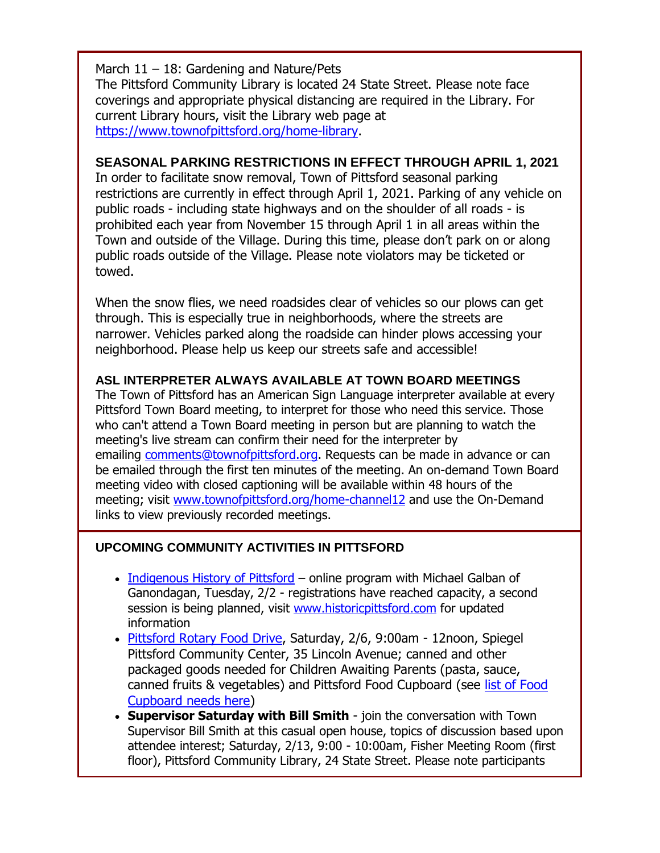March  $11 - 18$ : Gardening and Nature/Pets The Pittsford Community Library is located 24 State Street. Please note face coverings and appropriate physical distancing are required in the Library. For current Library hours, visit the Library web page at [https://www.townofpittsford.org/home-library.](http://https/www.townofpittsford.org/home-library)

### **SEASONAL PARKING RESTRICTIONS IN EFFECT THROUGH APRIL 1, 2021**

In order to facilitate snow removal, Town of Pittsford seasonal parking restrictions are currently in effect through April 1, 2021. Parking of any vehicle on public roads - including state highways and on the shoulder of all roads - is prohibited each year from November 15 through April 1 in all areas within the Town and outside of the Village. During this time, please don't park on or along public roads outside of the Village. Please note violators may be ticketed or towed.

When the snow flies, we need roadsides clear of vehicles so our plows can get through. This is especially true in neighborhoods, where the streets are narrower. Vehicles parked along the roadside can hinder plows accessing your neighborhood. Please help us keep our streets safe and accessible!

#### **ASL INTERPRETER ALWAYS AVAILABLE AT TOWN BOARD MEETINGS**

The Town of Pittsford has an American Sign Language interpreter available at every Pittsford Town Board meeting, to interpret for those who need this service. Those who can't attend a Town Board meeting in person but are planning to watch the meeting's live stream can confirm their need for the interpreter by emailing [comments@townofpittsford.org.](mailto:comments@townofpittsford.org?subject=ASL%20interperter%20request%20for%20Town%20Board%20meeting) Requests can be made in advance or can be emailed through the first ten minutes of the meeting. An on-demand Town Board meeting video with closed captioning will be available within 48 hours of the meeting; visit [www.townofpittsford.org/home-channel12](http://r20.rs6.net/tn.jsp?f=001xsnCz-yFKusJR09aC2vtQSyNjdJQlCzg04sNNibsGzBOoadihDLLUNLX-vPLa71F8DCOLfVeXuFRnfSAF8BOFN6PMUT5UKlsDmXiOT9_FPLewwlgnGNmZdjzZY3f-Es87RiOF4DPtI-iAQw3EXvWw_Hgv92ZLrKKlCiEThxoYyQ=&c=CBzpsg8PM0k1vNwE-vKAhZX5cgrrFRldkL38_We9tUABZOZvT6c42w==&ch=umqMH7X9GlveJr_i5AZq94dnsthTbh1x8iPTDkSQHy0lt4XLVxUbIQ==) and use the On-Demand links to view previously recorded meetings.

#### **UPCOMING COMMUNITY ACTIVITIES IN PITTSFORD**

- [Indigenous History of Pittsford](http://r20.rs6.net/tn.jsp?f=001xsnCz-yFKusJR09aC2vtQSyNjdJQlCzg04sNNibsGzBOoadihDLLUCrgFPXgFEWXKOw37lzRZS6lDmFrZ8U--PRvF4btj4GfWl4RjxU1hBW4qK6ijrSoRDtUNtayw22j-JuuIkiPJtimIVRODUN_PRQPTRfpgrLO&c=CBzpsg8PM0k1vNwE-vKAhZX5cgrrFRldkL38_We9tUABZOZvT6c42w==&ch=umqMH7X9GlveJr_i5AZq94dnsthTbh1x8iPTDkSQHy0lt4XLVxUbIQ==) online program with Michael Galban of Ganondagan, Tuesday, 2/2 - registrations have reached capacity, a second session is being planned, visit [www.historicpittsford.com](http://r20.rs6.net/tn.jsp?f=001xsnCz-yFKusJR09aC2vtQSyNjdJQlCzg04sNNibsGzBOoadihDLLUCrgFPXgFEWXKOw37lzRZS6lDmFrZ8U--PRvF4btj4GfWl4RjxU1hBW4qK6ijrSoRDtUNtayw22j-JuuIkiPJtimIVRODUN_PRQPTRfpgrLO&c=CBzpsg8PM0k1vNwE-vKAhZX5cgrrFRldkL38_We9tUABZOZvT6c42w==&ch=umqMH7X9GlveJr_i5AZq94dnsthTbh1x8iPTDkSQHy0lt4XLVxUbIQ==) for updated information
- [Pittsford Rotary Food Drive,](http://r20.rs6.net/tn.jsp?f=001xsnCz-yFKusJR09aC2vtQSyNjdJQlCzg04sNNibsGzBOoadihDLLUH8Np10RX2JrbPSWPUzQCl_od3aP339AVlsHSbyyT51pj-uIY1U39sVgS-Rys4KXeqOjmnbxPMq1cDRRiWQUr_99vaKnNaX3IdsDQrdplhP3Sx8GAgvkLBGCxWT8y849bsrf3SM6HArm_TsOWq76R360lB42AB3W5grgn8qKaFxR&c=CBzpsg8PM0k1vNwE-vKAhZX5cgrrFRldkL38_We9tUABZOZvT6c42w==&ch=umqMH7X9GlveJr_i5AZq94dnsthTbh1x8iPTDkSQHy0lt4XLVxUbIQ==) Saturday, 2/6, 9:00am 12noon, Spiegel Pittsford Community Center, 35 Lincoln Avenue; canned and other packaged goods needed for Children Awaiting Parents (pasta, sauce, canned fruits & vegetables) and Pittsford Food Cupboard (see [list of Food](http://r20.rs6.net/tn.jsp?f=001xsnCz-yFKusJR09aC2vtQSyNjdJQlCzg04sNNibsGzBOoadihDLLUNJQZ9xWyr5XoFTDRuDBPiyTIqYqppNuTi8lCVnYrzgM3vUa3egXUL622te37D2EqIttuRnR_Sd036TyUwIAZPTLqwyeLJWX2d4QvwyHjO2B07VTkVCqaHuHmtjR2INcwzinXtTix19-&c=CBzpsg8PM0k1vNwE-vKAhZX5cgrrFRldkL38_We9tUABZOZvT6c42w==&ch=umqMH7X9GlveJr_i5AZq94dnsthTbh1x8iPTDkSQHy0lt4XLVxUbIQ==)  [Cupboard needs here\)](http://r20.rs6.net/tn.jsp?f=001xsnCz-yFKusJR09aC2vtQSyNjdJQlCzg04sNNibsGzBOoadihDLLUNJQZ9xWyr5XoFTDRuDBPiyTIqYqppNuTi8lCVnYrzgM3vUa3egXUL622te37D2EqIttuRnR_Sd036TyUwIAZPTLqwyeLJWX2d4QvwyHjO2B07VTkVCqaHuHmtjR2INcwzinXtTix19-&c=CBzpsg8PM0k1vNwE-vKAhZX5cgrrFRldkL38_We9tUABZOZvT6c42w==&ch=umqMH7X9GlveJr_i5AZq94dnsthTbh1x8iPTDkSQHy0lt4XLVxUbIQ==)
- **Supervisor Saturday with Bill Smith** join the conversation with Town Supervisor Bill Smith at this casual open house, topics of discussion based upon attendee interest; Saturday, 2/13, 9:00 - 10:00am, Fisher Meeting Room (first floor), Pittsford Community Library, 24 State Street. Please note participants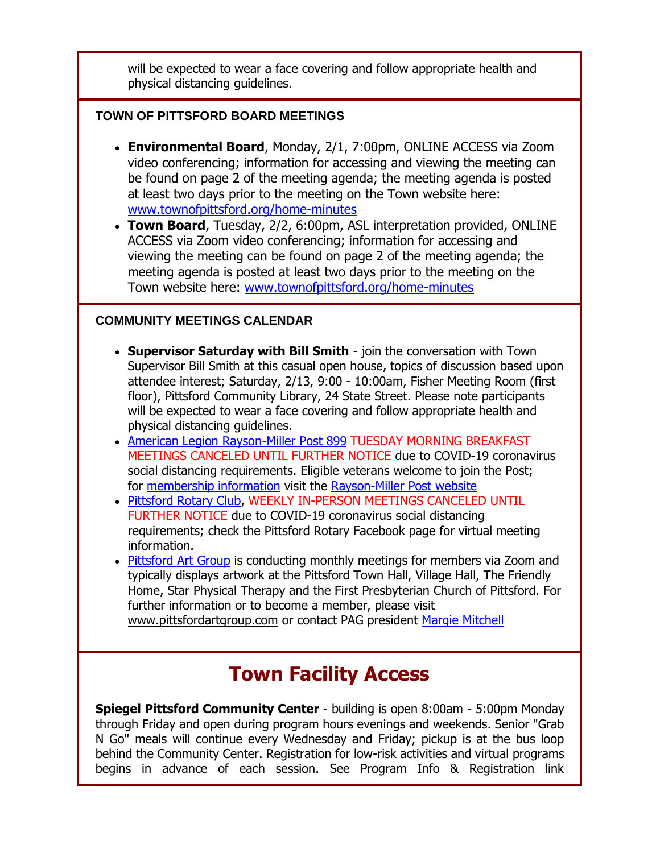will be expected to wear a face covering and follow appropriate health and physical distancing guidelines.

#### **TOWN OF PITTSFORD BOARD MEETINGS**

- **Environmental Board**, Monday, 2/1, 7:00pm, ONLINE ACCESS via Zoom video conferencing; information for accessing and viewing the meeting can be found on page 2 of the meeting agenda; the meeting agenda is posted at least two days prior to the meeting on the Town website here: [www.townofpittsford.org/home-minutes](http://r20.rs6.net/tn.jsp?f=001xsnCz-yFKusJR09aC2vtQSyNjdJQlCzg04sNNibsGzBOoadihDLLUIqdeIvTGlGPRU2SeTGuHjMDxS0OFVgXdQ3iGraSmZ1L9N4irU7-23W0Lg-nfJ4O4qfbJZohVcVCzu1QAeQc9jdahNZ6sqItV8JNv4SLJTziv2gSUtcB7UQ=&c=CBzpsg8PM0k1vNwE-vKAhZX5cgrrFRldkL38_We9tUABZOZvT6c42w==&ch=umqMH7X9GlveJr_i5AZq94dnsthTbh1x8iPTDkSQHy0lt4XLVxUbIQ==)
- **Town Board**, Tuesday, 2/2, 6:00pm, ASL interpretation provided, ONLINE ACCESS via Zoom video conferencing; information for accessing and viewing the meeting can be found on page 2 of the meeting agenda; the meeting agenda is posted at least two days prior to the meeting on the Town website here: [www.townofpittsford.org/home-minutes](http://r20.rs6.net/tn.jsp?f=001xsnCz-yFKusJR09aC2vtQSyNjdJQlCzg04sNNibsGzBOoadihDLLUIqdeIvTGlGPRU2SeTGuHjMDxS0OFVgXdQ3iGraSmZ1L9N4irU7-23W0Lg-nfJ4O4qfbJZohVcVCzu1QAeQc9jdahNZ6sqItV8JNv4SLJTziv2gSUtcB7UQ=&c=CBzpsg8PM0k1vNwE-vKAhZX5cgrrFRldkL38_We9tUABZOZvT6c42w==&ch=umqMH7X9GlveJr_i5AZq94dnsthTbh1x8iPTDkSQHy0lt4XLVxUbIQ==)

### **COMMUNITY MEETINGS CALENDAR**

- **Supervisor Saturday with Bill Smith** join the conversation with Town Supervisor Bill Smith at this casual open house, topics of discussion based upon attendee interest; Saturday, 2/13, 9:00 - 10:00am, Fisher Meeting Room (first floor), Pittsford Community Library, 24 State Street. Please note participants will be expected to wear a face covering and follow appropriate health and physical distancing guidelines.
- [American Legion Rayson-Miller Post 899](http://r20.rs6.net/tn.jsp?f=001xsnCz-yFKusJR09aC2vtQSyNjdJQlCzg04sNNibsGzBOoadihDLLUNbiqVeAEOSiHjaESsQnn6qCkzLBLuhfTiKBWwWcE9Gw6iI1jd0tA4IEqg94w9oxBFyEn1DEp9Cy7bmMfECN3d0dXzYS8440ueWHDcwRvWC1&c=CBzpsg8PM0k1vNwE-vKAhZX5cgrrFRldkL38_We9tUABZOZvT6c42w==&ch=umqMH7X9GlveJr_i5AZq94dnsthTbh1x8iPTDkSQHy0lt4XLVxUbIQ==) TUESDAY MORNING BREAKFAST MEETINGS CANCELED UNTIL FURTHER NOTICE due to COVID-19 coronavirus social distancing requirements. Eligible veterans welcome to join the Post; for [membership information](http://r20.rs6.net/tn.jsp?f=001xsnCz-yFKusJR09aC2vtQSyNjdJQlCzg04sNNibsGzBOoadihDLLUNbiqVeAEOSijG7JHSYSgaZIzVPJbseQecdPfkZR6IQURbl7ZIiji6h4Mv05gwa2wSFxYbUoqYP1NPwmH7NBTdJBSJDOvi9WNKVhD-pE0kAwz9ly9n6C61hSPh6MYLjKxma3FaLrESZw&c=CBzpsg8PM0k1vNwE-vKAhZX5cgrrFRldkL38_We9tUABZOZvT6c42w==&ch=umqMH7X9GlveJr_i5AZq94dnsthTbh1x8iPTDkSQHy0lt4XLVxUbIQ==) visit the [Rayson-Miller Post website](http://r20.rs6.net/tn.jsp?f=001xsnCz-yFKusJR09aC2vtQSyNjdJQlCzg04sNNibsGzBOoadihDLLUBASFtU9-9Y2rz8JSzU2JjY7SS1XNvlcyZmTpuDtusL2o6AXiUUV1HhjfnUlLdY9aU2CDvXWzm8P8auNEKUiQJQ3qIA8BBdjaSX5T3tw_dS1V5T-ZSmTS69fkZ3OVyA6B8RXtO0Is91_wycBNB4lRlbfUeHTHaS6sfi36rOnFezrhIy5PAgbBHe5pE_W-BbClbZQErIYsiIv&c=CBzpsg8PM0k1vNwE-vKAhZX5cgrrFRldkL38_We9tUABZOZvT6c42w==&ch=umqMH7X9GlveJr_i5AZq94dnsthTbh1x8iPTDkSQHy0lt4XLVxUbIQ==)
- [Pittsford Rotary Club,](http://r20.rs6.net/tn.jsp?f=001xsnCz-yFKusJR09aC2vtQSyNjdJQlCzg04sNNibsGzBOoadihDLLUIqdeIvTGlGPRbt7UCq4SGeKc5nR_eqb4jCmOqMGrINrD0dSnhaALtQ9RgEVXk3QcGBFwII86WGDNwUId6rKx1CEj0M0aksnQJCkWb6hR9Lm&c=CBzpsg8PM0k1vNwE-vKAhZX5cgrrFRldkL38_We9tUABZOZvT6c42w==&ch=umqMH7X9GlveJr_i5AZq94dnsthTbh1x8iPTDkSQHy0lt4XLVxUbIQ==) WEEKLY IN-PERSON MEETINGS CANCELED UNTIL FURTHER NOTICE due to COVID-19 coronavirus social distancing requirements; check the Pittsford Rotary Facebook page for virtual meeting information.
- [Pittsford Art Group](http://r20.rs6.net/tn.jsp?f=001xsnCz-yFKusJR09aC2vtQSyNjdJQlCzg04sNNibsGzBOoadihDLLUEfeP8Ku0EJL_KIM6mWRUEXFuejfqSvcHNA-zqnM-mDub0I_eHA3rBotc-jHSbJcIxwtPTb4dWtK4-GfifiyoShSHE4_NZn6bQDXpNEx1myDS9fpjbG69H4=&c=CBzpsg8PM0k1vNwE-vKAhZX5cgrrFRldkL38_We9tUABZOZvT6c42w==&ch=umqMH7X9GlveJr_i5AZq94dnsthTbh1x8iPTDkSQHy0lt4XLVxUbIQ==) is conducting monthly meetings for members via Zoom and typically displays artwork at the Pittsford Town Hall, Village Hall, The Friendly Home, Star Physical Therapy and the First Presbyterian Church of Pittsford. For further information or to become a member, please visit [www.pittsfordartgroup.com](http://r20.rs6.net/tn.jsp?f=001xsnCz-yFKusJR09aC2vtQSyNjdJQlCzg04sNNibsGzBOoadihDLLUMWkWQb5bwAuDfvJ_WKJyFmQWh-PfYuEGYUCrxbIXcwlUw-Nn6U7Z8-vSXaQNBmlH82toAQgnrpr-q4zTPmyl8xe4qND_iTSwgpD7-i5PNjR&c=CBzpsg8PM0k1vNwE-vKAhZX5cgrrFRldkL38_We9tUABZOZvT6c42w==&ch=umqMH7X9GlveJr_i5AZq94dnsthTbh1x8iPTDkSQHy0lt4XLVxUbIQ==) or contact PAG president [Margie Mitchell](mailto:mhsmitchell@gmail.com?subject=Pittsford%20Art%20Group%20Meetings%20and%20Membership)

# **Town Facility Access**

**Spiegel Pittsford Community Center** - building is open 8:00am - 5:00pm Monday through Friday and open during program hours evenings and weekends. Senior "Grab N Go" meals will continue every Wednesday and Friday; pickup is at the bus loop behind the Community Center. Registration for low-risk activities and virtual programs begins in advance of each session. See Program Info & Registration link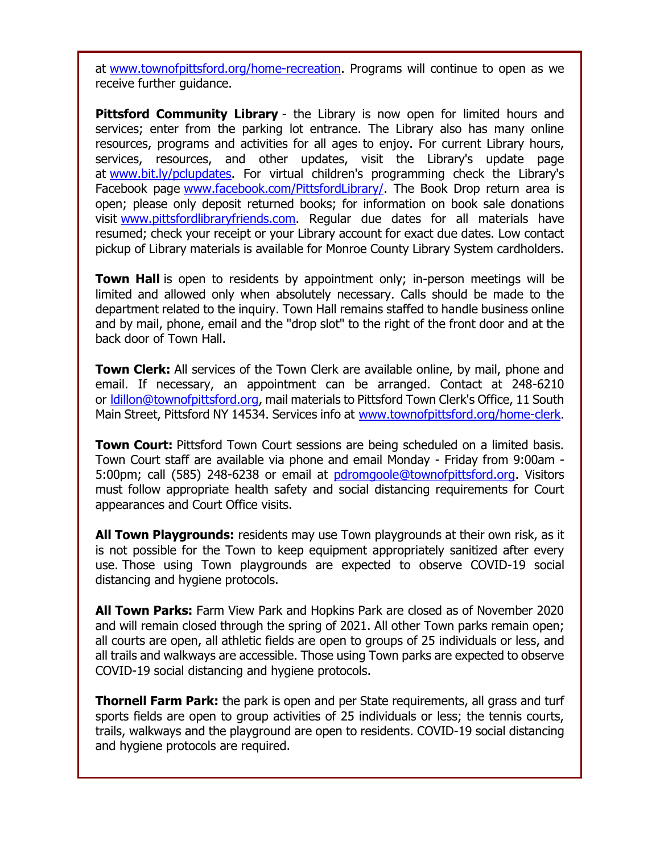at [www.townofpittsford.org/home-recreation.](http://r20.rs6.net/tn.jsp?f=001xsnCz-yFKusJR09aC2vtQSyNjdJQlCzg04sNNibsGzBOoadihDLLUPuiMs_jJJr3jyBXX_tziMv_2mJHlKSHWRJgh4OFx0PFwvbBzwUZbd3zpmls_f9mxqnoqBQfvTVWk9R854FJGsScO9qxwWMHhnAcVpBuzEKT8u8AZcIXximQmEokAyx2fw==&c=CBzpsg8PM0k1vNwE-vKAhZX5cgrrFRldkL38_We9tUABZOZvT6c42w==&ch=umqMH7X9GlveJr_i5AZq94dnsthTbh1x8iPTDkSQHy0lt4XLVxUbIQ==) Programs will continue to open as we receive further guidance.

**Pittsford Community Library** - the Library is now open for limited hours and services; enter from the parking lot entrance. The Library also has many online resources, programs and activities for all ages to enjoy. For current Library hours, services, resources, and other updates, visit the Library's update page at [www.bit.ly/pclupdates.](http://r20.rs6.net/tn.jsp?f=001xsnCz-yFKusJR09aC2vtQSyNjdJQlCzg04sNNibsGzBOoadihDLLUD2CuPQqbAW1KQVlpc7GKHm-war32SnExEopS45gVs6wS3vB9R0BLHDkOWezb2suaUDjM6L8Bhx0IOH47BkSDA2wUO5rK5sPtg==&c=CBzpsg8PM0k1vNwE-vKAhZX5cgrrFRldkL38_We9tUABZOZvT6c42w==&ch=umqMH7X9GlveJr_i5AZq94dnsthTbh1x8iPTDkSQHy0lt4XLVxUbIQ==) For virtual children's programming check the Library's Facebook page [www.facebook.com/PittsfordLibrary/.](http://r20.rs6.net/tn.jsp?f=001xsnCz-yFKusJR09aC2vtQSyNjdJQlCzg04sNNibsGzBOoadihDLLUPdTREz5G0YTQfX0oSqrnJVVwumkO_Zsbegsia0iV4Ms0aANKb7eQTXzDpkRKOw1Gcj0FHALMJ04U9qg45dcI-5MRVvSnwE2Q6jriQNVe355uyYYblQ87oo=&c=CBzpsg8PM0k1vNwE-vKAhZX5cgrrFRldkL38_We9tUABZOZvT6c42w==&ch=umqMH7X9GlveJr_i5AZq94dnsthTbh1x8iPTDkSQHy0lt4XLVxUbIQ==) The Book Drop return area is open; please only deposit returned books; for information on book sale donations visit [www.pittsfordlibraryfriends.com.](http://r20.rs6.net/tn.jsp?f=001xsnCz-yFKusJR09aC2vtQSyNjdJQlCzg04sNNibsGzBOoadihDLLULx0bZxGnC7ElT7AVLYx4GqmQiJyYMQad4YVOExaw8XT27Oar0y6T3GpQREcvpTnr5wTauWYNXUNfRJJl1elkfUx3ng5hR4DGAGyvp_2wO7HJEncPCMRCkM=&c=CBzpsg8PM0k1vNwE-vKAhZX5cgrrFRldkL38_We9tUABZOZvT6c42w==&ch=umqMH7X9GlveJr_i5AZq94dnsthTbh1x8iPTDkSQHy0lt4XLVxUbIQ==) Regular due dates for all materials have resumed; check your receipt or your Library account for exact due dates. Low contact pickup of Library materials is available for Monroe County Library System cardholders.

**Town Hall** is open to residents by appointment only; in-person meetings will be limited and allowed only when absolutely necessary. Calls should be made to the department related to the inquiry. Town Hall remains staffed to handle business online and by mail, phone, email and the "drop slot" to the right of the front door and at the back door of Town Hall.

**Town Clerk:** All services of the Town Clerk are available online, by mail, phone and email. If necessary, an appointment can be arranged. Contact at 248-6210 or [ldillon@townofpittsford.org,](mailto:ldillon@townofpittsford.org) mail materials to Pittsford Town Clerk's Office, 11 South Main Street, Pittsford NY 14534. Services info at [www.townofpittsford.org/home-clerk.](http://r20.rs6.net/tn.jsp?f=001xsnCz-yFKusJR09aC2vtQSyNjdJQlCzg04sNNibsGzBOoadihDLLUN1bpx7v_cFlQN0mKdvh0s9DWAX4_zmfDy5ObhQov05WAPuqiBbrofcwKiKv8_euUBTU1GiNaWT2Ux2n70wKNWoV09KjNMZ0mVnV3E6d8UdwWWw5l90m3R8=&c=CBzpsg8PM0k1vNwE-vKAhZX5cgrrFRldkL38_We9tUABZOZvT6c42w==&ch=umqMH7X9GlveJr_i5AZq94dnsthTbh1x8iPTDkSQHy0lt4XLVxUbIQ==)

**Town Court:** Pittsford Town Court sessions are being scheduled on a limited basis. Town Court staff are available via phone and email Monday - Friday from 9:00am 5:00pm; call (585) 248-6238 or email at [pdromgoole@townofpittsford.org.](mailto:pdromgoole@townofpittsford.org) Visitors must follow appropriate health safety and social distancing requirements for Court appearances and Court Office visits.

**All Town Playgrounds:** residents may use Town playgrounds at their own risk, as it is not possible for the Town to keep equipment appropriately sanitized after every use. Those using Town playgrounds are expected to observe COVID-19 social distancing and hygiene protocols.

**All Town Parks:** Farm View Park and Hopkins Park are closed as of November 2020 and will remain closed through the spring of 2021. All other Town parks remain open; all courts are open, all athletic fields are open to groups of 25 individuals or less, and all trails and walkways are accessible. Those using Town parks are expected to observe COVID-19 social distancing and hygiene protocols.

**Thornell Farm Park:** the park is open and per State requirements, all grass and turf sports fields are open to group activities of 25 individuals or less; the tennis courts, trails, walkways and the playground are open to residents. COVID-19 social distancing and hygiene protocols are required.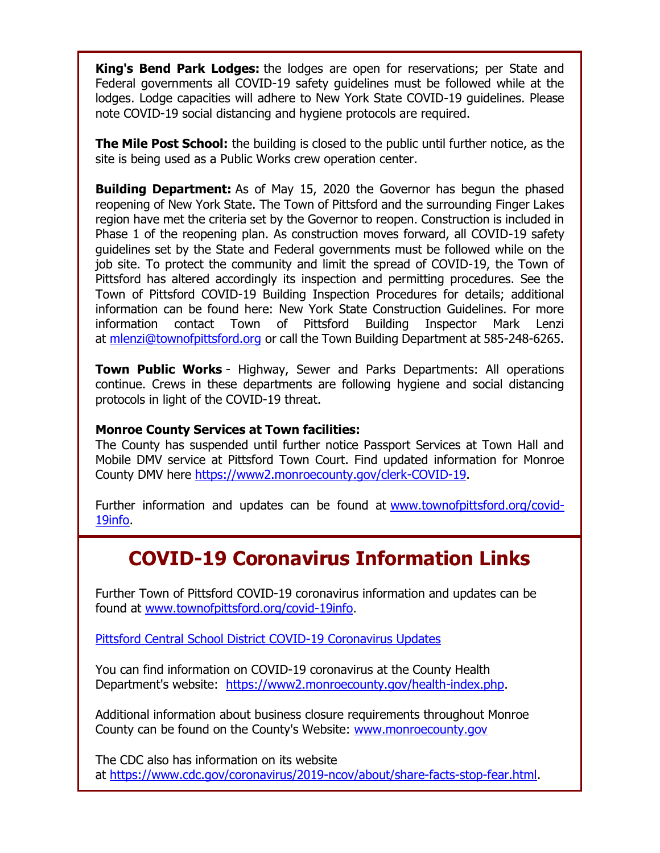**King's Bend Park Lodges:** the lodges are open for reservations; per State and Federal governments all COVID-19 safety guidelines must be followed while at the lodges. Lodge capacities will adhere to New York State COVID-19 guidelines. Please note COVID-19 social distancing and hygiene protocols are required.

**The Mile Post School:** the building is closed to the public until further notice, as the site is being used as a Public Works crew operation center.

**Building Department:** As of May 15, 2020 the Governor has begun the phased reopening of New York State. The Town of Pittsford and the surrounding Finger Lakes region have met the criteria set by the Governor to reopen. Construction is included in Phase 1 of the reopening plan. As construction moves forward, all COVID-19 safety guidelines set by the State and Federal governments must be followed while on the job site. To protect the community and limit the spread of COVID-19, the Town of Pittsford has altered accordingly its inspection and permitting procedures. See the Town of Pittsford COVID-19 Building Inspection Procedures for details; additional information can be found here: New York State Construction Guidelines. For more information contact Town of Pittsford Building Inspector Mark Lenzi at [mlenzi@townofpittsford.org](mailto:mlenzi@townofpittsford.org?subject=COVID-19%20Construciton%20Information) or call the Town Building Department at 585-248-6265.

**Town Public Works** - Highway, Sewer and Parks Departments: All operations continue. Crews in these departments are following hygiene and social distancing protocols in light of the COVID-19 threat.

#### **Monroe County Services at Town facilities:**

The County has suspended until further notice Passport Services at Town Hall and Mobile DMV service at Pittsford Town Court. Find updated information for Monroe County DMV here [https://www2.monroecounty.gov/clerk-COVID-19.](http://r20.rs6.net/tn.jsp?f=001xsnCz-yFKusJR09aC2vtQSyNjdJQlCzg04sNNibsGzBOoadihDLLUHn-dIk55agVF64dI0V-Fl-hVK1AttCkzjXWdtdjDBdLExCYTNV4Zx1amyY8bgykJBu5MoRncxBXdppUzxYo94YtcqODYyN9zrxhtuvAPQQ9O2-Fncle-DI=&c=CBzpsg8PM0k1vNwE-vKAhZX5cgrrFRldkL38_We9tUABZOZvT6c42w==&ch=umqMH7X9GlveJr_i5AZq94dnsthTbh1x8iPTDkSQHy0lt4XLVxUbIQ==)

Further information and updates can be found at [www.townofpittsford.org/covid-](http://r20.rs6.net/tn.jsp?f=001xsnCz-yFKusJR09aC2vtQSyNjdJQlCzg04sNNibsGzBOoadihDLLUDtAlull7wwTvnGgbnBmFDyP-8V_Yq5NSgnnHAfgg1sGb7u3-M292j2578L_JVxbQQEXQVDdxFVey-lhq8AGHeg5JO5J40UvIgYx0Vhp4xU-7NKX7gd-te0=&c=CBzpsg8PM0k1vNwE-vKAhZX5cgrrFRldkL38_We9tUABZOZvT6c42w==&ch=umqMH7X9GlveJr_i5AZq94dnsthTbh1x8iPTDkSQHy0lt4XLVxUbIQ==)[19info.](http://r20.rs6.net/tn.jsp?f=001xsnCz-yFKusJR09aC2vtQSyNjdJQlCzg04sNNibsGzBOoadihDLLUDtAlull7wwTvnGgbnBmFDyP-8V_Yq5NSgnnHAfgg1sGb7u3-M292j2578L_JVxbQQEXQVDdxFVey-lhq8AGHeg5JO5J40UvIgYx0Vhp4xU-7NKX7gd-te0=&c=CBzpsg8PM0k1vNwE-vKAhZX5cgrrFRldkL38_We9tUABZOZvT6c42w==&ch=umqMH7X9GlveJr_i5AZq94dnsthTbh1x8iPTDkSQHy0lt4XLVxUbIQ==)

# **COVID-19 Coronavirus Information Links**

Further Town of Pittsford COVID-19 coronavirus information and updates can be found at [www.townofpittsford.org/covid-19info.](http://r20.rs6.net/tn.jsp?f=001xsnCz-yFKusJR09aC2vtQSyNjdJQlCzg04sNNibsGzBOoadihDLLUDtAlull7wwTvnGgbnBmFDyP-8V_Yq5NSgnnHAfgg1sGb7u3-M292j2578L_JVxbQQEXQVDdxFVey-lhq8AGHeg5JO5J40UvIgYx0Vhp4xU-7NKX7gd-te0=&c=CBzpsg8PM0k1vNwE-vKAhZX5cgrrFRldkL38_We9tUABZOZvT6c42w==&ch=umqMH7X9GlveJr_i5AZq94dnsthTbh1x8iPTDkSQHy0lt4XLVxUbIQ==)

[Pittsford Central School District COVID-19 Coronavirus Updates](http://r20.rs6.net/tn.jsp?f=001xsnCz-yFKusJR09aC2vtQSyNjdJQlCzg04sNNibsGzBOoadihDLLUPdTREz5G0YTR2wGCvTlcoD1hkoeQqSGdWU1c6CRvyanGSmrbQXK7smiOgcvhKrEvQVdsD5W-qU1j6MDRKHckEKhnVquILknXmehKW4O7OKL7qvqrNjXNxOTvRO0pivRyg==&c=CBzpsg8PM0k1vNwE-vKAhZX5cgrrFRldkL38_We9tUABZOZvT6c42w==&ch=umqMH7X9GlveJr_i5AZq94dnsthTbh1x8iPTDkSQHy0lt4XLVxUbIQ==)

You can find information on COVID-19 coronavirus at the County Health Department's website: [https://www2.monroecounty.gov/health-index.php.](http://r20.rs6.net/tn.jsp?f=001xsnCz-yFKusJR09aC2vtQSyNjdJQlCzg04sNNibsGzBOoadihDLLUHSxrtuUF53pcJ-Bieu1Ice0nXwP09Dfr1EjqEIr3ggIVvIItPmg9_MpZQ87ijkg2vS45pRbp15LjC7AtNxiWs-JBtNsTFCWZ7tmc2Qgc6B1xZX533Nl9BBMCSoM_pw8bA==&c=CBzpsg8PM0k1vNwE-vKAhZX5cgrrFRldkL38_We9tUABZOZvT6c42w==&ch=umqMH7X9GlveJr_i5AZq94dnsthTbh1x8iPTDkSQHy0lt4XLVxUbIQ==)

Additional information about business closure requirements throughout Monroe County can be found on the County's Website: [www.monroecounty.gov](http://r20.rs6.net/tn.jsp?f=001xsnCz-yFKusJR09aC2vtQSyNjdJQlCzg04sNNibsGzBOoadihDLLUDqx1f3OrZOERvPwtZNw4hx3U6tRSpfn_GMQPEJ7yZM7iZDmcuC6haTuv7SUYa0PK8xlXFzpHwjcOVcLCjEX2VIpJYAlA8Nh2w==&c=CBzpsg8PM0k1vNwE-vKAhZX5cgrrFRldkL38_We9tUABZOZvT6c42w==&ch=umqMH7X9GlveJr_i5AZq94dnsthTbh1x8iPTDkSQHy0lt4XLVxUbIQ==)

The CDC also has information on its website at [https://www.cdc.gov/coronavirus/2019-ncov/about/share-facts-stop-fear.html.](http://r20.rs6.net/tn.jsp?f=001xsnCz-yFKusJR09aC2vtQSyNjdJQlCzg04sNNibsGzBOoadihDLLUHSxrtuUF53pjmQP8u-BL3jZ5vlNL8UqusKjxCu8_xA-d6XKEgvtHL5ghFP-8CHMGCenBF7Aj3A6McOrv2lVasWJgS4TCduGdrzVIQUjgDs90CYdaMWnTLVr6OzPFvct7tlB7UBvW0uq0W1TZJZ3AjV5uNs3ZGHE_U-p-VwV4ORz&c=CBzpsg8PM0k1vNwE-vKAhZX5cgrrFRldkL38_We9tUABZOZvT6c42w==&ch=umqMH7X9GlveJr_i5AZq94dnsthTbh1x8iPTDkSQHy0lt4XLVxUbIQ==)